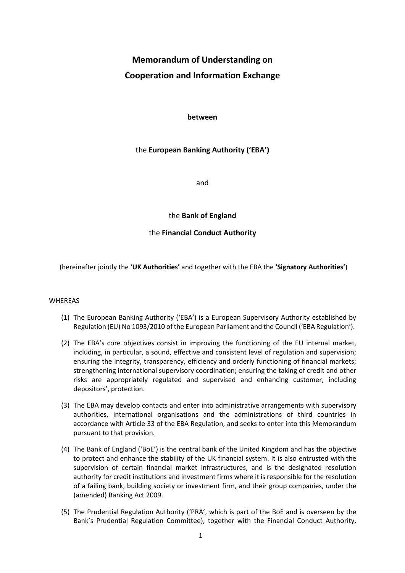# **Memorandum of Understanding on Cooperation and Information Exchange**

## **between**

# the **European Banking Authority ('EBA')**

and

the **Bank of England**

# the **Financial Conduct Authority**

(hereinafter jointly the **'UK Authorities'** and together with the EBA the **'Signatory Authorities'**)

#### WHEREAS

- (1) The European Banking Authority ('EBA') is a European Supervisory Authority established by Regulation (EU) No 1093/2010 of the European Parliament and the Council ('EBA Regulation').
- (2) The EBA's core objectives consist in improving the functioning of the EU internal market, including, in particular, a sound, effective and consistent level of regulation and supervision; ensuring the integrity, transparency, efficiency and orderly functioning of financial markets; strengthening international supervisory coordination; ensuring the taking of credit and other risks are appropriately regulated and supervised and enhancing customer, including depositors', protection.
- (3) The EBA may develop contacts and enter into administrative arrangements with supervisory authorities, international organisations and the administrations of third countries in accordance with Article 33 of the EBA Regulation, and seeks to enter into this Memorandum pursuant to that provision.
- (4) The Bank of England ('BoE') is the central bank of the United Kingdom and has the objective to protect and enhance the stability of the UK financial system. It is also entrusted with the supervision of certain financial market infrastructures, and is the designated resolution authority for credit institutions and investment firms where it is responsible for the resolution of a failing bank, building society or investment firm, and their group companies, under the (amended) Banking Act 2009.
- (5) The Prudential Regulation Authority ('PRA', which is part of the BoE and is overseen by the Bank's Prudential Regulation Committee), together with the Financial Conduct Authority,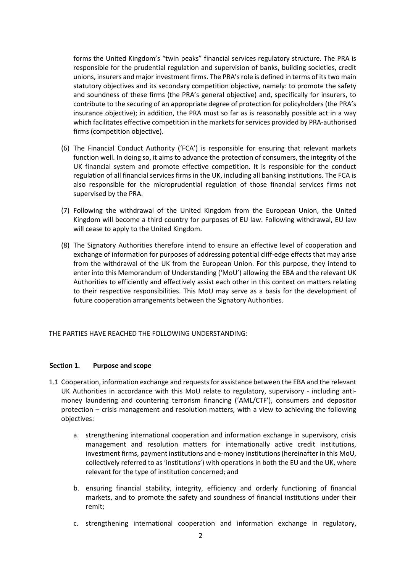forms the United Kingdom's "twin peaks" financial services regulatory structure. The PRA is responsible for the prudential regulation and supervision of banks, building societies, credit unions, insurers and major investment firms. The PRA's role is defined in terms of its two main statutory objectives and its secondary competition objective, namely: to promote the safety and soundness of these firms (the PRA's general objective) and, specifically for insurers, to contribute to the securing of an appropriate degree of protection for policyholders (the PRA's insurance objective); in addition, the PRA must so far as is reasonably possible act in a way which facilitates effective competition in the markets for services provided by PRA-authorised firms (competition objective).

- (6) The Financial Conduct Authority ('FCA') is responsible for ensuring that relevant markets function well. In doing so, it aims to advance the protection of consumers, the integrity of the UK financial system and promote effective competition. It is responsible for the conduct regulation of all financial services firms in the UK, including all banking institutions. The FCA is also responsible for the microprudential regulation of those financial services firms not supervised by the PRA.
- (7) Following the withdrawal of the United Kingdom from the European Union, the United Kingdom will become a third country for purposes of EU law. Following withdrawal, EU law will cease to apply to the United Kingdom.
- (8) The Signatory Authorities therefore intend to ensure an effective level of cooperation and exchange of information for purposes of addressing potential cliff-edge effects that may arise from the withdrawal of the UK from the European Union. For this purpose, they intend to enter into this Memorandum of Understanding ('MoU') allowing the EBA and the relevant UK Authorities to efficiently and effectively assist each other in this context on matters relating to their respective responsibilities. This MoU may serve as a basis for the development of future cooperation arrangements between the Signatory Authorities.

THE PARTIES HAVE REACHED THE FOLLOWING UNDERSTANDING:

#### **Section 1. Purpose and scope**

- 1.1 Cooperation, information exchange and requests for assistance between the EBA and the relevant UK Authorities in accordance with this MoU relate to regulatory, supervisory - including antimoney laundering and countering terrorism financing ('AML/CTF'), consumers and depositor protection – crisis management and resolution matters, with a view to achieving the following objectives:
	- a. strengthening international cooperation and information exchange in supervisory, crisis management and resolution matters for internationally active credit institutions, investment firms, payment institutions and e-money institutions(hereinafter in this MoU, collectively referred to as 'institutions') with operations in both the EU and the UK, where relevant for the type of institution concerned; and
	- b. ensuring financial stability, integrity, efficiency and orderly functioning of financial markets, and to promote the safety and soundness of financial institutions under their remit;
	- c. strengthening international cooperation and information exchange in regulatory,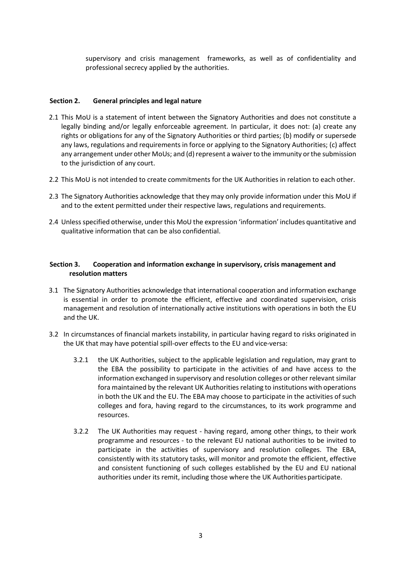supervisory and crisis management frameworks, as well as of confidentiality and professional secrecy applied by the authorities.

## **Section 2. General principles and legal nature**

- 2.1 This MoU is a statement of intent between the Signatory Authorities and does not constitute a legally binding and/or legally enforceable agreement. In particular, it does not: (a) create any rights or obligations for any of the Signatory Authorities or third parties; (b) modify or supersede any laws, regulations and requirements in force or applying to the Signatory Authorities; (c) affect any arrangement under other MoUs; and (d) represent a waiver to the immunity or the submission to the jurisdiction of any court.
- 2.2 This MoU is not intended to create commitments for the UK Authorities in relation to each other.
- 2.3 The Signatory Authorities acknowledge that they may only provide information under this MoU if and to the extent permitted under their respective laws, regulations and requirements.
- 2.4 Unless specified otherwise, under this MoU the expression 'information' includes quantitative and qualitative information that can be also confidential.

## **Section 3. Cooperation and information exchange in supervisory, crisis management and resolution matters**

- 3.1 The Signatory Authorities acknowledge that international cooperation and information exchange is essential in order to promote the efficient, effective and coordinated supervision, crisis management and resolution of internationally active institutions with operations in both the EU and the UK.
- 3.2 In circumstances of financial markets instability, in particular having regard to risks originated in the UK that may have potential spill-over effects to the EU and vice-versa:
	- 3.2.1 the UK Authorities, subject to the applicable legislation and regulation, may grant to the EBA the possibility to participate in the activities of and have access to the information exchanged in supervisory and resolution colleges or other relevant similar fora maintained by the relevant UK Authorities relating to institutions with operations in both the UK and the EU. The EBA may choose to participate in the activities of such colleges and fora, having regard to the circumstances, to its work programme and resources.
	- 3.2.2 The UK Authorities may request having regard, among other things, to their work programme and resources - to the relevant EU national authorities to be invited to participate in the activities of supervisory and resolution colleges. The EBA, consistently with its statutory tasks, will monitor and promote the efficient, effective and consistent functioning of such colleges established by the EU and EU national authorities under its remit, including those where the UK Authorities participate.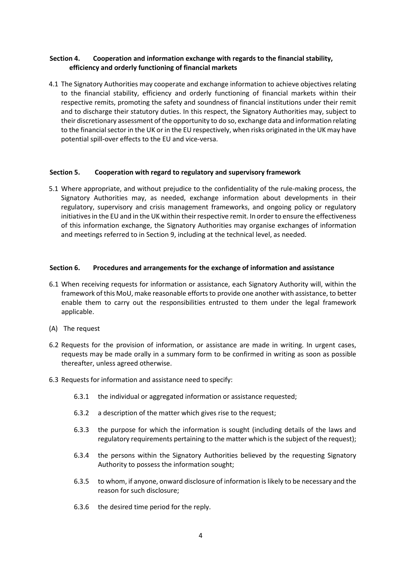# **Section 4. Cooperation and information exchange with regards to the financial stability, efficiency and orderly functioning of financial markets**

4.1 The Signatory Authorities may cooperate and exchange information to achieve objectives relating to the financial stability, efficiency and orderly functioning of financial markets within their respective remits, promoting the safety and soundness of financial institutions under their remit and to discharge their statutory duties. In this respect, the Signatory Authorities may, subject to their discretionary assessment of the opportunity to do so, exchange data and information relating to the financial sector in the UK or in the EU respectively, when risks originated in the UK may have potential spill-over effects to the EU and vice-versa.

#### **Section 5. Cooperation with regard to regulatory and supervisory framework**

5.1 Where appropriate, and without prejudice to the confidentiality of the rule-making process, the Signatory Authorities may, as needed, exchange information about developments in their regulatory, supervisory and crisis management frameworks, and ongoing policy or regulatory initiatives in the EU and in the UK within their respective remit. In order to ensure the effectiveness of this information exchange, the Signatory Authorities may organise exchanges of information and meetings referred to in Section 9, including at the technical level, as needed.

#### **Section 6. Procedures and arrangements for the exchange of information and assistance**

- 6.1 When receiving requests for information or assistance, each Signatory Authority will, within the framework of this MoU, make reasonable efforts to provide one another with assistance, to better enable them to carry out the responsibilities entrusted to them under the legal framework applicable.
- (A) The request
- 6.2 Requests for the provision of information, or assistance are made in writing. In urgent cases, requests may be made orally in a summary form to be confirmed in writing as soon as possible thereafter, unless agreed otherwise.
- 6.3 Requests for information and assistance need to specify:
	- 6.3.1 the individual or aggregated information or assistance requested;
	- 6.3.2 a description of the matter which gives rise to the request;
	- 6.3.3 the purpose for which the information is sought (including details of the laws and regulatory requirements pertaining to the matter which is the subject of the request);
	- 6.3.4 the persons within the Signatory Authorities believed by the requesting Signatory Authority to possess the information sought;
	- 6.3.5 to whom, if anyone, onward disclosure of information is likely to be necessary and the reason for such disclosure;
	- 6.3.6 the desired time period for the reply.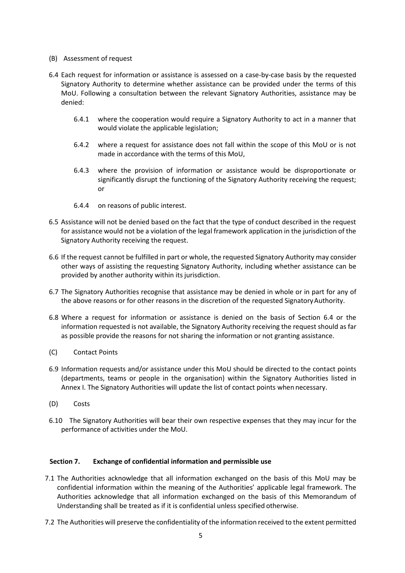#### (B) Assessment of request

- <span id="page-4-0"></span>6.4 Each request for information or assistance is assessed on a case-by-case basis by the requested Signatory Authority to determine whether assistance can be provided under the terms of this MoU. Following a consultation between the relevant Signatory Authorities, assistance may be denied:
	- 6.4.1 where the cooperation would require a Signatory Authority to act in a manner that would violate the applicable legislation;
	- 6.4.2 where a request for assistance does not fall within the scope of this MoU or is not made in accordance with the terms of this MoU,
	- 6.4.3 where the provision of information or assistance would be disproportionate or significantly disrupt the functioning of the Signatory Authority receiving the request; or
	- 6.4.4 on reasons of public interest.
- 6.5 Assistance will not be denied based on the fact that the type of conduct described in the request for assistance would not be a violation of the legal framework application in the jurisdiction of the Signatory Authority receiving the request.
- 6.6 If the request cannot be fulfilled in part or whole, the requested Signatory Authority may consider other ways of assisting the requesting Signatory Authority, including whether assistance can be provided by another authority within its jurisdiction.
- 6.7 The Signatory Authorities recognise that assistance may be denied in whole or in part for any of the above reasons or for other reasons in the discretion of the requested Signatory Authority.
- 6.8 Where a request for information or assistance is denied on the basis of Section [6.4](#page-4-0) or the information requested is not available, the Signatory Authority receiving the request should as far as possible provide the reasons for not sharing the information or not granting assistance.
- (C) Contact Points
- 6.9 Information requests and/or assistance under this MoU should be directed to the contact points (departments, teams or people in the organisation) within the Signatory Authorities listed in Annex I. The Signatory Authorities will update the list of contact points when necessary.
- (D) Costs
- 6.10 The Signatory Authorities will bear their own respective expenses that they may incur for the performance of activities under the MoU.

#### **Section 7. Exchange of confidential information and permissible use**

- 7.1 The Authorities acknowledge that all information exchanged on the basis of this MoU may be confidential information within the meaning of the Authorities' applicable legal framework. The Authorities acknowledge that all information exchanged on the basis of this Memorandum of Understanding shall be treated as if it is confidential unless specified otherwise.
- 7.2 The Authorities will preserve the confidentiality of the information received to the extent permitted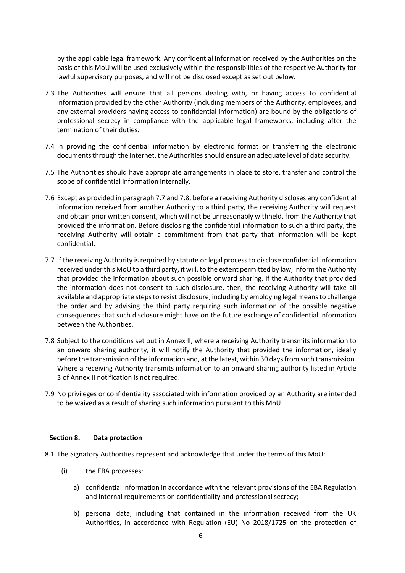by the applicable legal framework. Any confidential information received by the Authorities on the basis of this MoU will be used exclusively within the responsibilities of the respective Authority for lawful supervisory purposes, and will not be disclosed except as set out below.

- 7.3 The Authorities will ensure that all persons dealing with, or having access to confidential information provided by the other Authority (including members of the Authority, employees, and any external providers having access to confidential information) are bound by the obligations of professional secrecy in compliance with the applicable legal frameworks, including after the termination of their duties.
- 7.4 In providing the confidential information by electronic format or transferring the electronic documents through the Internet, the Authorities should ensure an adequate level of data security.
- 7.5 The Authorities should have appropriate arrangements in place to store, transfer and control the scope of confidential information internally.
- 7.6 Except as provided in paragraph 7.7 and 7.8, before a receiving Authority discloses any confidential information received from another Authority to a third party, the receiving Authority will request and obtain prior written consent, which will not be unreasonably withheld, from the Authority that provided the information. Before disclosing the confidential information to such a third party, the receiving Authority will obtain a commitment from that party that information will be kept confidential.
- 7.7 If the receiving Authority is required by statute or legal process to disclose confidential information received under this MoU to a third party, it will, to the extent permitted by law, inform the Authority that provided the information about such possible onward sharing. If the Authority that provided the information does not consent to such disclosure, then, the receiving Authority will take all available and appropriate steps to resist disclosure, including by employing legal means to challenge the order and by advising the third party requiring such information of the possible negative consequences that such disclosure might have on the future exchange of confidential information between the Authorities.
- 7.8 Subject to the conditions set out in Annex II, where a receiving Authority transmits information to an onward sharing authority, it will notify the Authority that provided the information, ideally before the transmission of the information and, at the latest, within 30 days from such transmission. Where a receiving Authority transmits information to an onward sharing authority listed in Article 3 of Annex II notification is not required.
- 7.9 No privileges or confidentiality associated with information provided by an Authority are intended to be waived as a result of sharing such information pursuant to this MoU.

#### **Section 8. Data protection**

- 8.1 The Signatory Authorities represent and acknowledge that under the terms of this MoU:
	- (i) the EBA processes:
		- a) confidential information in accordance with the relevant provisions of the EBA Regulation and internal requirements on confidentiality and professional secrecy;
		- b) personal data, including that contained in the information received from the UK Authorities, in accordance with Regulation (EU) No 2018/1725 on the protection of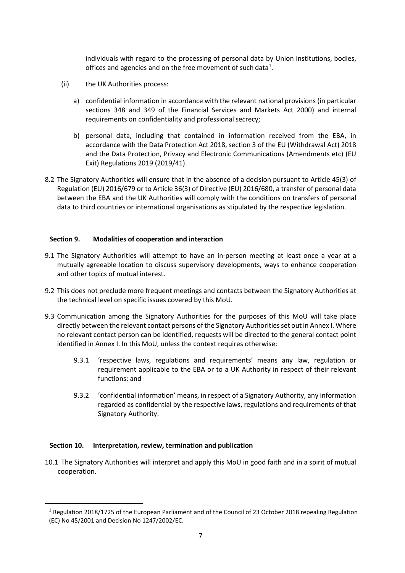individuals with regard to the processing of personal data by Union institutions, bodies, offices and agencies and on the free movement of such data $^1$  $^1$ .

- (ii) the UK Authorities process:
	- a) confidential information in accordance with the relevant national provisions (in particular sections 348 and 349 of the Financial Services and Markets Act 2000) and internal requirements on confidentiality and professional secrecy;
	- b) personal data, including that contained in information received from the EBA, in accordance with the Data Protection Act 2018, section 3 of the EU (Withdrawal Act) 2018 and the Data Protection, Privacy and Electronic Communications (Amendments etc) (EU Exit) Regulations 2019 (2019/41).
- 8.2 The Signatory Authorities will ensure that in the absence of a decision pursuant to Article 45(3) of Regulation (EU) 2016/679 or to Article 36(3) of Directive (EU) 2016/680, a transfer of personal data between the EBA and the UK Authorities will comply with the conditions on transfers of personal data to third countries or international organisations as stipulated by the respective legislation.

## **Section 9. Modalities of cooperation and interaction**

- 9.1 The Signatory Authorities will attempt to have an in-person meeting at least once a year at a mutually agreeable location to discuss supervisory developments, ways to enhance cooperation and other topics of mutual interest.
- 9.2 This does not preclude more frequent meetings and contacts between the Signatory Authorities at the technical level on specific issues covered by this MoU.
- 9.3 Communication among the Signatory Authorities for the purposes of this MoU will take place directly between the relevant contact persons of the Signatory Authorities set out in Annex I. Where no relevant contact person can be identified, requests will be directed to the general contact point identified in Annex I. In this MoU, unless the context requires otherwise:
	- 9.3.1 'respective laws, regulations and requirements' means any law, regulation or requirement applicable to the EBA or to a UK Authority in respect of their relevant functions; and
	- 9.3.2 'confidential information' means, in respect of a Signatory Authority, any information regarded as confidential by the respective laws, regulations and requirements of that Signatory Authority.

#### **Section 10. Interpretation, review, termination and publication**

10.1 The Signatory Authorities will interpret and apply this MoU in good faith and in a spirit of mutual cooperation.

<span id="page-6-0"></span> <sup>1</sup> Regulation 2018/1725 of the European Parliament and of the Council of 23 October 2018 repealing Regulation (EC) No 45/2001 and Decision No 1247/2002/EC.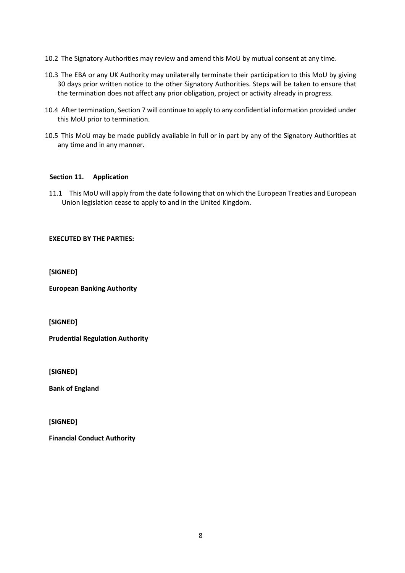- 10.2 The Signatory Authorities may review and amend this MoU by mutual consent at any time.
- 10.3 The EBA or any UK Authority may unilaterally terminate their participation to this MoU by giving 30 days prior written notice to the other Signatory Authorities. Steps will be taken to ensure that the termination does not affect any prior obligation, project or activity already in progress.
- 10.4 After termination, Section 7 will continue to apply to any confidential information provided under this MoU prior to termination.
- 10.5 This MoU may be made publicly available in full or in part by any of the Signatory Authorities at any time and in any manner.

# **Section 11. Application**

11.1 This MoU will apply from the date following that on which the European Treaties and European Union legislation cease to apply to and in the United Kingdom.

## **EXECUTED BY THE PARTIES:**

**[SIGNED]**

**European Banking Authority**

**[SIGNED]**

**Prudential Regulation Authority**

**[SIGNED]**

**Bank of England**

**[SIGNED]**

**Financial Conduct Authority**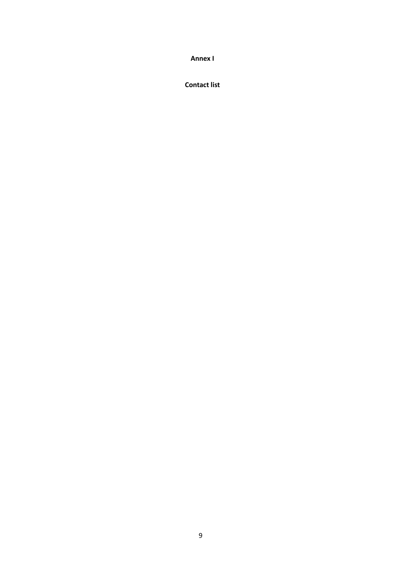**Annex I** 

**Contact list**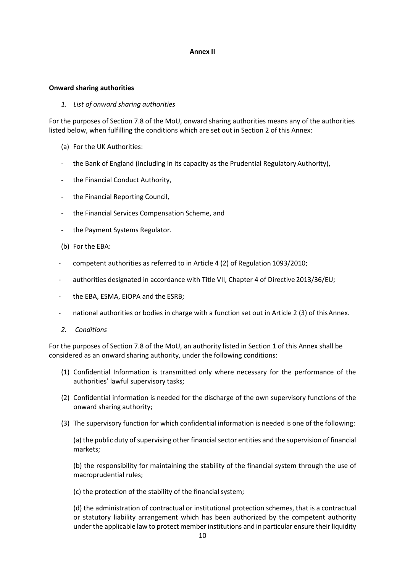#### **Annex II**

#### **Onward sharing authorities**

#### *1. List of onward sharing authorities*

For the purposes of Section 7.8 of the MoU, onward sharing authorities means any of the authorities listed below, when fulfilling the conditions which are set out in Section 2 of this Annex:

- (a) For the UK Authorities:
- the Bank of England (including in its capacity as the Prudential Regulatory Authority),
- the Financial Conduct Authority,
- the Financial Reporting Council,
- the Financial Services Compensation Scheme, and
- the Payment Systems Regulator.
- (b) For the EBA:
- competent authorities as referred to in Article 4 (2) of Regulation 1093/2010;
- authorities designated in accordance with Title VII, Chapter 4 of Directive 2013/36/EU;
- the EBA, ESMA, EIOPA and the ESRB;
- national authorities or bodies in charge with a function set out in Article 2 (3) of this Annex.
- *2. Conditions*

For the purposes of Section 7.8 of the MoU, an authority listed in Section 1 of this Annex shall be considered as an onward sharing authority, under the following conditions:

- (1) Confidential Information is transmitted only where necessary for the performance of the authorities' lawful supervisory tasks;
- (2) Confidential information is needed for the discharge of the own supervisory functions of the onward sharing authority;
- (3) The supervisory function for which confidential information is needed is one of the following:

(a) the public duty of supervising other financial sector entities and the supervision of financial markets;

(b) the responsibility for maintaining the stability of the financial system through the use of macroprudential rules;

(c) the protection of the stability of the financial system;

(d) the administration of contractual or institutional protection schemes, that is a contractual or statutory liability arrangement which has been authorized by the competent authority under the applicable law to protect member institutions and in particular ensure their liquidity